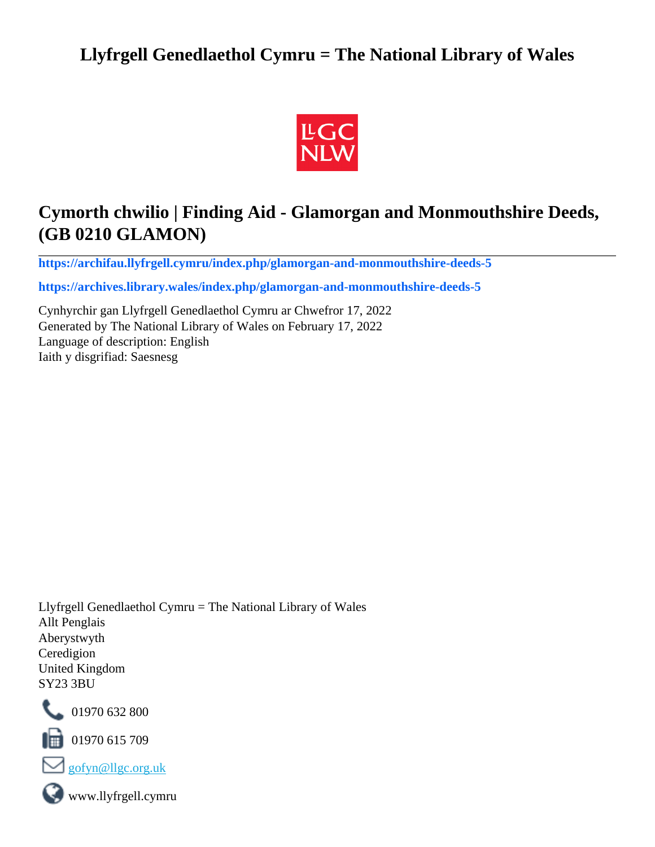# **Llyfrgell Genedlaethol Cymru = The National Library of Wales**



# **Cymorth chwilio | Finding Aid - Glamorgan and Monmouthshire Deeds, (GB 0210 GLAMON)**

**[https://archifau.llyfrgell.cymru/index.php/glamorgan-and-monmouthshire-deeds-5](https://archifau.llyfrgell.cymru/index.php/glamorgan-and-monmouthshire-deeds-5;isad?sf_culture=cy)**

**[https://archives.library.wales/index.php/glamorgan-and-monmouthshire-deeds-5](https://archives.library.wales/index.php/glamorgan-and-monmouthshire-deeds-5;isad?sf_culture=en)**

Cynhyrchir gan Llyfrgell Genedlaethol Cymru ar Chwefror 17, 2022 Generated by The National Library of Wales on February 17, 2022 Language of description: English Iaith y disgrifiad: Saesnesg

Llyfrgell Genedlaethol Cymru = The National Library of Wales Allt Penglais Aberystwyth Ceredigion United Kingdom SY23 3BU



101970 632 800

 $\blacksquare$  01970 615 709



www.llyfrgell.cymru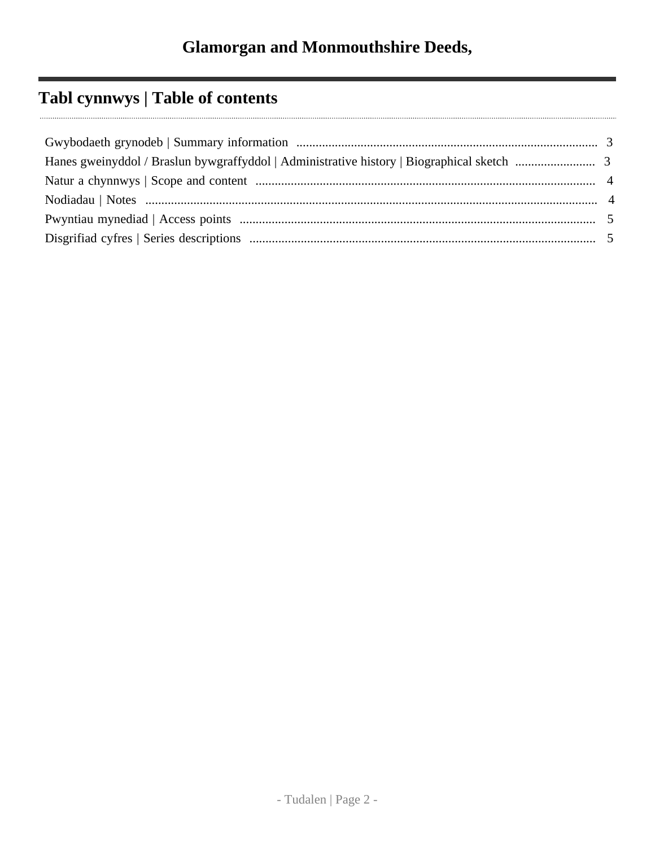# **Tabl cynnwys | Table of contents**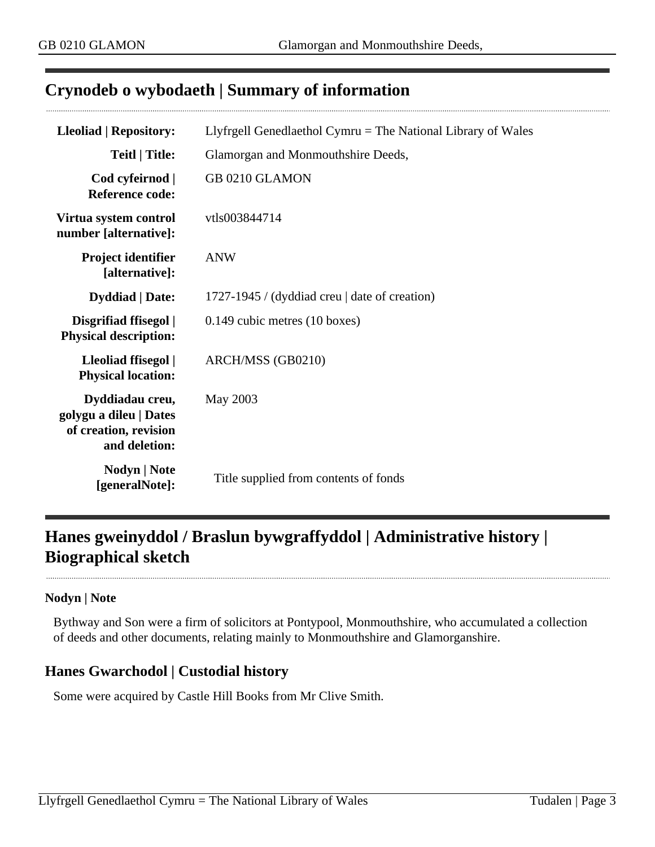# <span id="page-2-0"></span>**Crynodeb o wybodaeth | Summary of information**

| <b>Lleoliad   Repository:</b>                                                       | Llyfrgell Genedlaethol Cymru = The National Library of Wales |  |
|-------------------------------------------------------------------------------------|--------------------------------------------------------------|--|
| Teitl   Title:                                                                      | Glamorgan and Monmouthshire Deeds,                           |  |
| Cod cyfeirnod  <br><b>Reference code:</b>                                           | GB 0210 GLAMON                                               |  |
| Virtua system control<br>number [alternative]:                                      | vtls003844714                                                |  |
| <b>Project identifier</b><br>[alternative]:                                         | <b>ANW</b>                                                   |  |
| <b>Dyddiad</b>   Date:                                                              | 1727-1945 / (dyddiad creu   date of creation)                |  |
| Disgrifiad ffisegol  <br><b>Physical description:</b>                               | $0.149$ cubic metres $(10 \text{ boxes})$                    |  |
| Lleoliad ffisegol  <br><b>Physical location:</b>                                    | ARCH/MSS (GB0210)                                            |  |
| Dyddiadau creu,<br>golygu a dileu   Dates<br>of creation, revision<br>and deletion: | May 2003                                                     |  |
| Nodyn   Note<br>[generalNote]:                                                      | Title supplied from contents of fonds                        |  |

# <span id="page-2-1"></span>**Hanes gweinyddol / Braslun bywgraffyddol | Administrative history | Biographical sketch**

#### **Nodyn | Note**

Bythway and Son were a firm of solicitors at Pontypool, Monmouthshire, who accumulated a collection of deeds and other documents, relating mainly to Monmouthshire and Glamorganshire.

## **Hanes Gwarchodol | Custodial history**

Some were acquired by Castle Hill Books from Mr Clive Smith.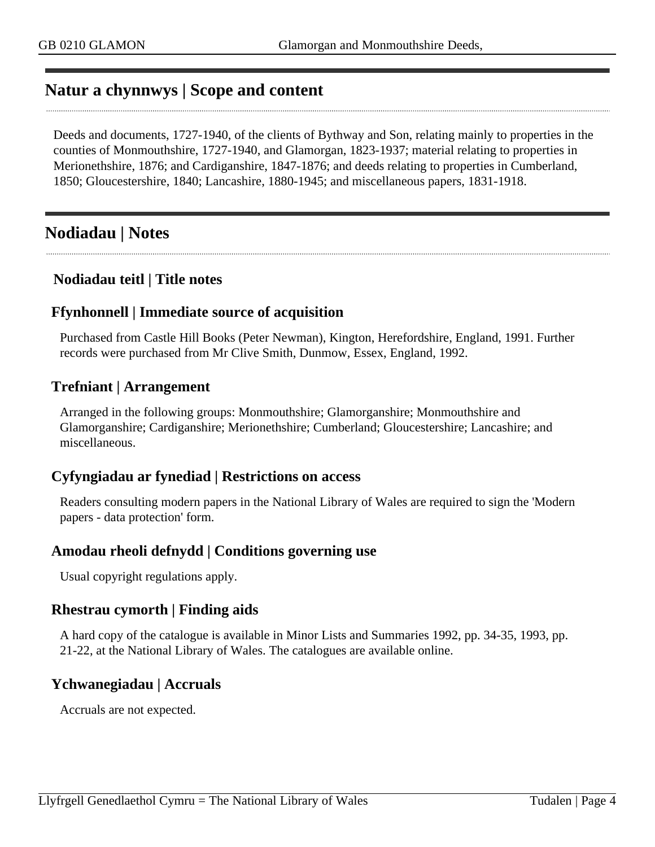# <span id="page-3-0"></span>**Natur a chynnwys | Scope and content**

Deeds and documents, 1727-1940, of the clients of Bythway and Son, relating mainly to properties in the counties of Monmouthshire, 1727-1940, and Glamorgan, 1823-1937; material relating to properties in Merionethshire, 1876; and Cardiganshire, 1847-1876; and deeds relating to properties in Cumberland, 1850; Gloucestershire, 1840; Lancashire, 1880-1945; and miscellaneous papers, 1831-1918.

# <span id="page-3-1"></span>**Nodiadau | Notes**

#### **Nodiadau teitl | Title notes**

#### **Ffynhonnell | Immediate source of acquisition**

Purchased from Castle Hill Books (Peter Newman), Kington, Herefordshire, England, 1991. Further records were purchased from Mr Clive Smith, Dunmow, Essex, England, 1992.

#### **Trefniant | Arrangement**

Arranged in the following groups: Monmouthshire; Glamorganshire; Monmouthshire and Glamorganshire; Cardiganshire; Merionethshire; Cumberland; Gloucestershire; Lancashire; and miscellaneous.

#### **Cyfyngiadau ar fynediad | Restrictions on access**

Readers consulting modern papers in the National Library of Wales are required to sign the 'Modern papers - data protection' form.

#### **Amodau rheoli defnydd | Conditions governing use**

Usual copyright regulations apply.

#### **Rhestrau cymorth | Finding aids**

A hard copy of the catalogue is available in Minor Lists and Summaries 1992, pp. 34-35, 1993, pp. 21-22, at the National Library of Wales. The catalogues are available online.

#### **Ychwanegiadau | Accruals**

Accruals are not expected.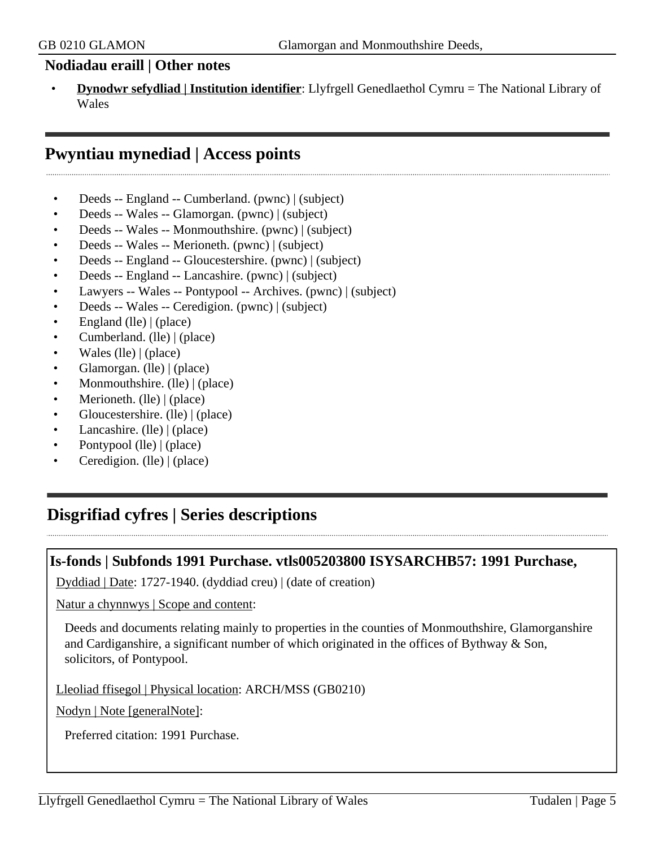#### **Nodiadau eraill | Other notes**

• **Dynodwr sefydliad | Institution identifier**: Llyfrgell Genedlaethol Cymru = The National Library of **Wales** 

# <span id="page-4-0"></span>**Pwyntiau mynediad | Access points**

- Deeds -- England -- Cumberland. (pwnc) | (subject)
- Deeds -- Wales -- Glamorgan. (pwnc) | (subject)
- Deeds -- Wales -- Monmouthshire. (pwnc) | (subject)
- Deeds -- Wales -- Merioneth. (pwnc) | (subject)
- Deeds -- England -- Gloucestershire. (pwnc) | (subject)
- Deeds -- England -- Lancashire. (pwnc) | (subject)
- Lawyers -- Wales -- Pontypool -- Archives. (pwnc) | (subject)
- Deeds -- Wales -- Ceredigion. (pwnc) | (subject)
- England (lle) | (place)
- Cumberland. (lle) | (place)
- Wales (lle)  $|$  (place)
- Glamorgan. (lle) | (place)
- Monmouthshire. (lle) | (place)
- Merioneth. (lle) | (place)
- Gloucestershire. (lle) | (place)
- Lancashire. (lle) | (place)
- Pontypool (lle) | (place)
- Ceredigion. (lle) | (place)

# <span id="page-4-1"></span>**Disgrifiad cyfres | Series descriptions**

#### **Is-fonds | Subfonds 1991 Purchase. vtls005203800 ISYSARCHB57: 1991 Purchase,**

Dyddiad | Date: 1727-1940. (dyddiad creu) | (date of creation)

Natur a chynnwys | Scope and content:

Deeds and documents relating mainly to properties in the counties of Monmouthshire, Glamorganshire and Cardiganshire, a significant number of which originated in the offices of Bythway & Son, solicitors, of Pontypool.

Lleoliad ffisegol | Physical location: ARCH/MSS (GB0210)

Nodyn | Note [generalNote]:

Preferred citation: 1991 Purchase.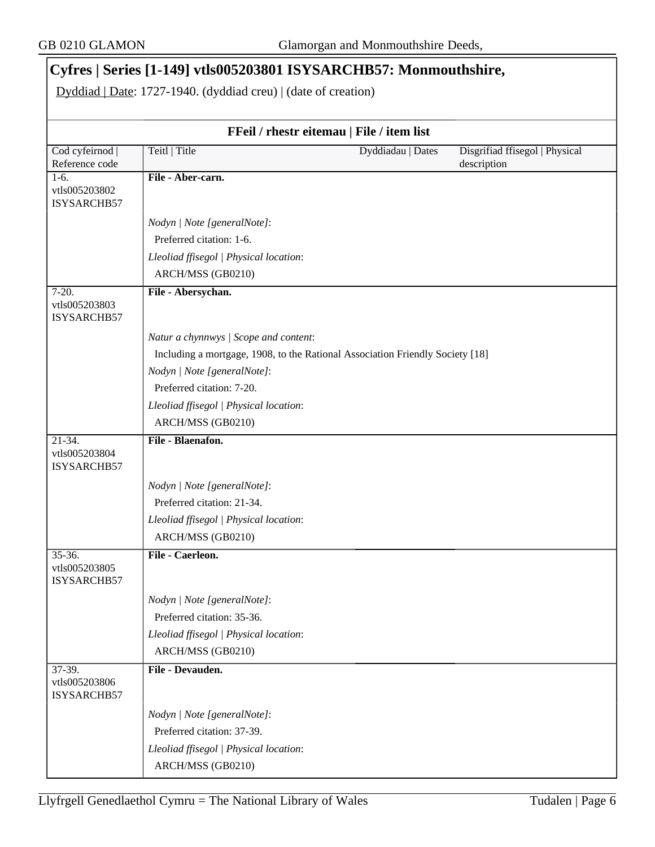## **Cyfres | Series [1-149] vtls005203801 ISYSARCHB57: Monmouthshire,**

Dyddiad | Date: 1727-1940. (dyddiad creu) | (date of creation)

| FFeil / rhestr eitemau   File / item list  |                                        |                                                                               |                                               |
|--------------------------------------------|----------------------------------------|-------------------------------------------------------------------------------|-----------------------------------------------|
| Cod cyfeirnod  <br>Reference code          | Teitl   Title                          | Dyddiadau   Dates                                                             | Disgrifiad ffisegol   Physical<br>description |
| $1-6.$<br>vtls005203802<br>ISYSARCHB57     | File - Aber-carn.                      |                                                                               |                                               |
|                                            | Nodyn   Note [generalNote]:            |                                                                               |                                               |
|                                            | Preferred citation: 1-6.               |                                                                               |                                               |
|                                            | Lleoliad ffisegol   Physical location: |                                                                               |                                               |
|                                            | ARCH/MSS (GB0210)                      |                                                                               |                                               |
| $7 - 20.$<br>vtls005203803<br>ISYSARCHB57  | File - Abersychan.                     |                                                                               |                                               |
|                                            | Natur a chynnwys / Scope and content:  |                                                                               |                                               |
|                                            |                                        | Including a mortgage, 1908, to the Rational Association Friendly Society [18] |                                               |
|                                            | Nodyn   Note [generalNote]:            |                                                                               |                                               |
|                                            | Preferred citation: 7-20.              |                                                                               |                                               |
|                                            | Lleoliad ffisegol   Physical location: |                                                                               |                                               |
|                                            | ARCH/MSS (GB0210)                      |                                                                               |                                               |
| $21-34.$<br>vtls005203804<br>ISYSARCHB57   | File - Blaenafon.                      |                                                                               |                                               |
|                                            | Nodyn   Note [generalNote]:            |                                                                               |                                               |
|                                            | Preferred citation: 21-34.             |                                                                               |                                               |
|                                            | Lleoliad ffisegol   Physical location: |                                                                               |                                               |
|                                            | ARCH/MSS (GB0210)                      |                                                                               |                                               |
| $35 - 36.$<br>vtls005203805<br>ISYSARCHB57 | File - Caerleon.                       |                                                                               |                                               |
|                                            | Nodyn   Note [generalNote]:            |                                                                               |                                               |
|                                            | Preferred citation: 35-36.             |                                                                               |                                               |
|                                            | Lleoliad ffisegol   Physical location: |                                                                               |                                               |
|                                            | ARCH/MSS (GB0210)                      |                                                                               |                                               |
| $37-39.$<br>vtls005203806<br>ISYSARCHB57   | File - Devauden.                       |                                                                               |                                               |
|                                            | Nodyn   Note [generalNote]:            |                                                                               |                                               |
|                                            | Preferred citation: 37-39.             |                                                                               |                                               |
|                                            | Lleoliad ffisegol   Physical location: |                                                                               |                                               |
|                                            | ARCH/MSS (GB0210)                      |                                                                               |                                               |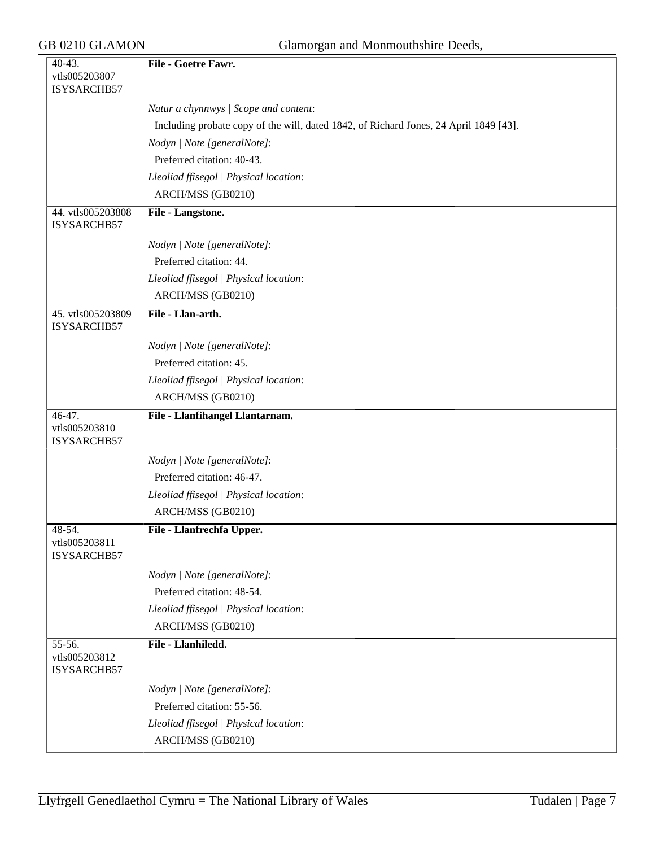| 40-43.                           | File - Goetre Fawr.                                                                   |
|----------------------------------|---------------------------------------------------------------------------------------|
| vtls005203807                    |                                                                                       |
| ISYSARCHB57                      |                                                                                       |
|                                  | Natur a chynnwys / Scope and content:                                                 |
|                                  | Including probate copy of the will, dated 1842, of Richard Jones, 24 April 1849 [43]. |
|                                  | Nodyn   Note [generalNote]:                                                           |
|                                  | Preferred citation: 40-43.                                                            |
|                                  | Lleoliad ffisegol   Physical location:                                                |
|                                  | ARCH/MSS (GB0210)                                                                     |
| 44. vtls005203808<br>ISYSARCHB57 | File - Langstone.                                                                     |
|                                  | Nodyn   Note [generalNote]:                                                           |
|                                  | Preferred citation: 44.                                                               |
|                                  | Lleoliad ffisegol   Physical location:                                                |
|                                  | ARCH/MSS (GB0210)                                                                     |
| 45. vtls005203809                | File - Llan-arth.                                                                     |
| ISYSARCHB57                      |                                                                                       |
|                                  | Nodyn   Note [generalNote]:                                                           |
|                                  | Preferred citation: 45.                                                               |
|                                  | Lleoliad ffisegol   Physical location:                                                |
|                                  | ARCH/MSS (GB0210)                                                                     |
| $46-47.$                         | File - Llanfihangel Llantarnam.                                                       |
| vtls005203810<br>ISYSARCHB57     |                                                                                       |
|                                  | Nodyn   Note [generalNote]:                                                           |
|                                  | Preferred citation: 46-47.                                                            |
|                                  | Lleoliad ffisegol   Physical location:                                                |
|                                  | ARCH/MSS (GB0210)                                                                     |
| $48-54.$                         | File - Llanfrechfa Upper.                                                             |
| vtls005203811<br>ISYSARCHB57     |                                                                                       |
|                                  | Nodyn   Note [generalNote]:                                                           |
|                                  | Preferred citation: 48-54.                                                            |
|                                  | Lleoliad ffisegol   Physical location:                                                |
|                                  | ARCH/MSS (GB0210)                                                                     |
| 55-56.                           | File - Llanhiledd.                                                                    |
| vtls005203812<br>ISYSARCHB57     |                                                                                       |
|                                  | Nodyn   Note [generalNote]:                                                           |
|                                  | Preferred citation: 55-56.                                                            |
|                                  | Lleoliad ffisegol   Physical location:                                                |
|                                  | ARCH/MSS (GB0210)                                                                     |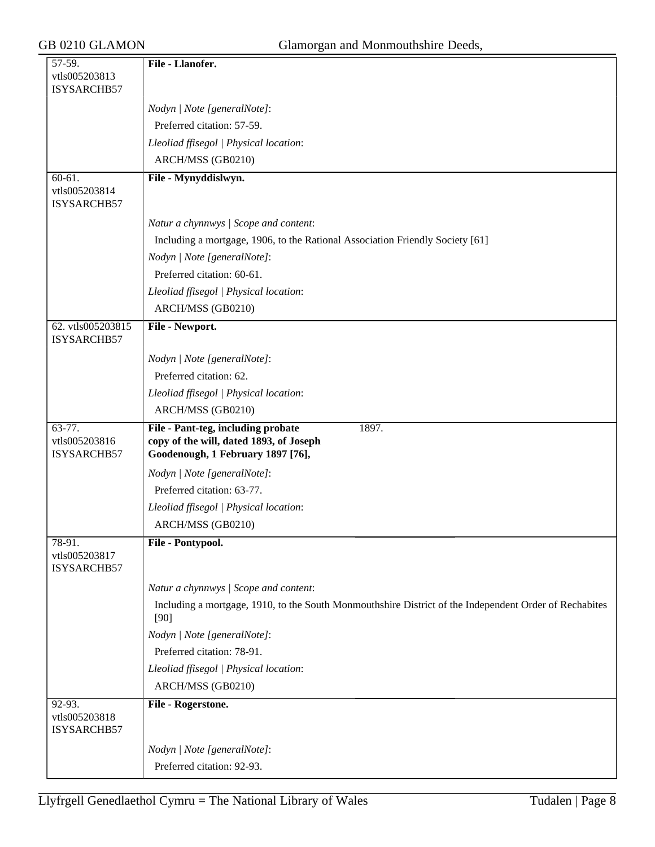| 57-59.                                     | File - Llanofer.                                                                                                            |
|--------------------------------------------|-----------------------------------------------------------------------------------------------------------------------------|
| vtls005203813                              |                                                                                                                             |
| ISYSARCHB57                                |                                                                                                                             |
|                                            | Nodyn   Note [generalNote]:                                                                                                 |
|                                            | Preferred citation: 57-59.                                                                                                  |
|                                            | Lleoliad ffisegol   Physical location:                                                                                      |
|                                            | ARCH/MSS (GB0210)                                                                                                           |
| $60 - 61.$                                 | File - Mynyddislwyn.                                                                                                        |
| vtls005203814<br>ISYSARCHB57               |                                                                                                                             |
|                                            | Natur a chynnwys / Scope and content:                                                                                       |
|                                            | Including a mortgage, 1906, to the Rational Association Friendly Society [61]                                               |
|                                            | Nodyn   Note [generalNote]:                                                                                                 |
|                                            | Preferred citation: 60-61.                                                                                                  |
|                                            | Lleoliad ffisegol   Physical location:                                                                                      |
|                                            | ARCH/MSS (GB0210)                                                                                                           |
| 62. vtls005203815<br>ISYSARCHB57           | File - Newport.                                                                                                             |
|                                            | Nodyn   Note [generalNote]:                                                                                                 |
|                                            | Preferred citation: 62.                                                                                                     |
|                                            | Lleoliad ffisegol   Physical location:                                                                                      |
|                                            | ARCH/MSS (GB0210)                                                                                                           |
|                                            |                                                                                                                             |
|                                            |                                                                                                                             |
| $63 - 77.$<br>vtls005203816<br>ISYSARCHB57 | File - Pant-teg, including probate<br>1897.<br>copy of the will, dated 1893, of Joseph<br>Goodenough, 1 February 1897 [76], |
|                                            | Nodyn   Note [generalNote]:                                                                                                 |
|                                            | Preferred citation: 63-77.                                                                                                  |
|                                            | Lleoliad ffisegol   Physical location:                                                                                      |
|                                            | ARCH/MSS (GB0210)                                                                                                           |
| $78-91.$                                   | File - Pontypool.                                                                                                           |
| vtls005203817<br>ISYSARCHB57               |                                                                                                                             |
|                                            | Natur a chynnwys / Scope and content:                                                                                       |
|                                            | Including a mortgage, 1910, to the South Monmouthshire District of the Independent Order of Rechabites<br>$[90]$            |
|                                            |                                                                                                                             |
|                                            | Nodyn   Note [generalNote]:<br>Preferred citation: 78-91.                                                                   |
|                                            | Lleoliad ffisegol   Physical location:                                                                                      |
|                                            | ARCH/MSS (GB0210)                                                                                                           |
| $92-93.$                                   | File - Rogerstone.                                                                                                          |
| vtls005203818<br>ISYSARCHB57               |                                                                                                                             |
|                                            | Nodyn   Note [generalNote]:                                                                                                 |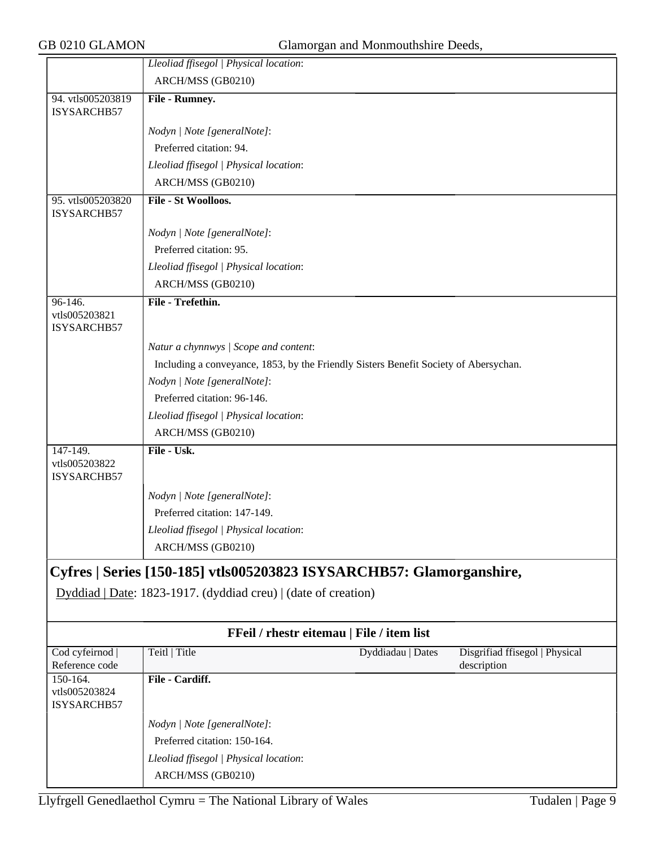| GB 0210 GLAMON                          |                                                                                                                                        | Glamorgan and Monmouthshire Deeds, |                                |
|-----------------------------------------|----------------------------------------------------------------------------------------------------------------------------------------|------------------------------------|--------------------------------|
|                                         | Lleoliad ffisegol   Physical location:                                                                                                 |                                    |                                |
|                                         | ARCH/MSS (GB0210)                                                                                                                      |                                    |                                |
| 94. vtls005203819<br>ISYSARCHB57        | File - Rumney.                                                                                                                         |                                    |                                |
|                                         | Nodyn   Note [generalNote]:                                                                                                            |                                    |                                |
|                                         | Preferred citation: 94.                                                                                                                |                                    |                                |
|                                         | Lleoliad ffisegol   Physical location:                                                                                                 |                                    |                                |
|                                         | ARCH/MSS (GB0210)                                                                                                                      |                                    |                                |
| 95. vtls005203820<br>ISYSARCHB57        | File - St Woolloos.                                                                                                                    |                                    |                                |
|                                         | Nodyn   Note [generalNote]:                                                                                                            |                                    |                                |
|                                         | Preferred citation: 95.                                                                                                                |                                    |                                |
|                                         | Lleoliad ffisegol   Physical location:                                                                                                 |                                    |                                |
|                                         | ARCH/MSS (GB0210)                                                                                                                      |                                    |                                |
| 96-146.<br>vtls005203821<br>ISYSARCHB57 | File - Trefethin.                                                                                                                      |                                    |                                |
|                                         | Natur a chynnwys / Scope and content:                                                                                                  |                                    |                                |
|                                         | Including a conveyance, 1853, by the Friendly Sisters Benefit Society of Abersychan.                                                   |                                    |                                |
|                                         | Nodyn   Note [generalNote]:                                                                                                            |                                    |                                |
|                                         | Preferred citation: 96-146.                                                                                                            |                                    |                                |
|                                         | Lleoliad ffisegol   Physical location:                                                                                                 |                                    |                                |
|                                         | ARCH/MSS (GB0210)                                                                                                                      |                                    |                                |
| 147-149.                                | File - Usk.                                                                                                                            |                                    |                                |
| vtls005203822<br>ISYSARCHB57            |                                                                                                                                        |                                    |                                |
|                                         | Nodyn   Note [generalNote]:                                                                                                            |                                    |                                |
|                                         | Preferred citation: 147-149.                                                                                                           |                                    |                                |
|                                         | Lleoliad ffisegol   Physical location:                                                                                                 |                                    |                                |
|                                         | ARCH/MSS (GB0210)                                                                                                                      |                                    |                                |
|                                         | Cyfres   Series [150-185] vtls005203823 ISYSARCHB57: Glamorganshire,<br>Dyddiad   Date: 1823-1917. (dyddiad creu)   (date of creation) |                                    |                                |
|                                         | FFeil / rhestr eitemau   File / item list                                                                                              |                                    |                                |
| Cod cyfeirnod                           | Teitl   Title                                                                                                                          | Dyddiadau   Dates                  | Disgrifiad ffisegol   Physical |
| Reference code<br>150-164.              | File - Cardiff.                                                                                                                        |                                    | description                    |
| vtls005203824<br>ISYSARCHB57            |                                                                                                                                        |                                    |                                |
|                                         | Nodyn   Note [generalNote]:                                                                                                            |                                    |                                |
|                                         | Preferred citation: 150-164.                                                                                                           |                                    |                                |
|                                         | Lleoliad ffisegol   Physical location:                                                                                                 |                                    |                                |
|                                         | ARCH/MSS (GB0210)                                                                                                                      |                                    |                                |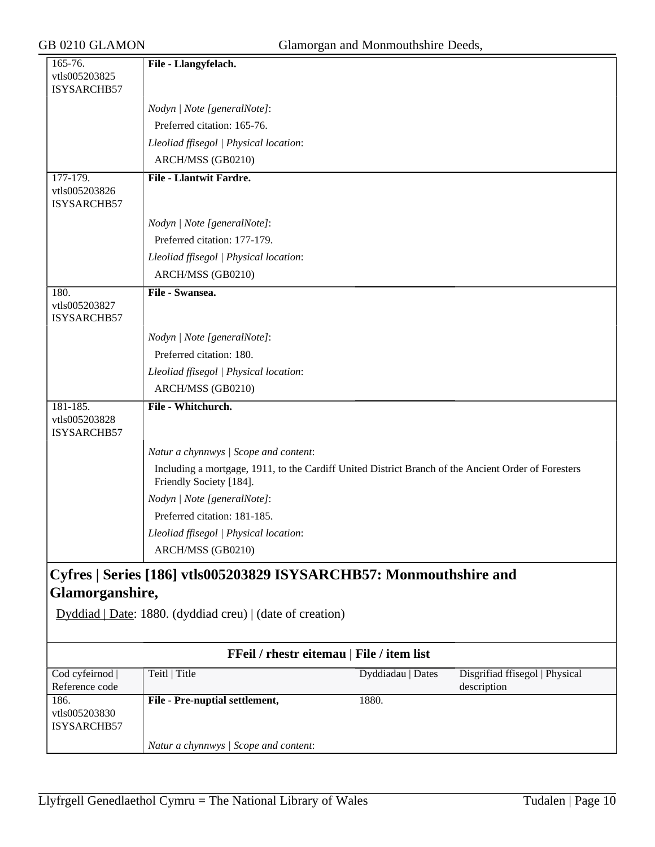| 165-76.<br>vtls005203825     | File - Llangyfelach.                                               |                                                                                                     |
|------------------------------|--------------------------------------------------------------------|-----------------------------------------------------------------------------------------------------|
| ISYSARCHB57                  |                                                                    |                                                                                                     |
|                              |                                                                    |                                                                                                     |
|                              | Nodyn   Note [generalNote]:                                        |                                                                                                     |
|                              | Preferred citation: 165-76.                                        |                                                                                                     |
|                              | Lleoliad ffisegol   Physical location:                             |                                                                                                     |
|                              | ARCH/MSS (GB0210)                                                  |                                                                                                     |
| 177-179.                     | <b>File - Llantwit Fardre.</b>                                     |                                                                                                     |
| vtls005203826<br>ISYSARCHB57 |                                                                    |                                                                                                     |
|                              |                                                                    |                                                                                                     |
|                              | Nodyn   Note [generalNote]:                                        |                                                                                                     |
|                              | Preferred citation: 177-179.                                       |                                                                                                     |
|                              | Lleoliad ffisegol   Physical location:                             |                                                                                                     |
|                              | ARCH/MSS (GB0210)                                                  |                                                                                                     |
| 180.                         | File - Swansea.                                                    |                                                                                                     |
| vtls005203827<br>ISYSARCHB57 |                                                                    |                                                                                                     |
|                              | Nodyn   Note [generalNote]:                                        |                                                                                                     |
|                              | Preferred citation: 180.                                           |                                                                                                     |
|                              | Lleoliad ffisegol   Physical location:                             |                                                                                                     |
|                              | ARCH/MSS (GB0210)                                                  |                                                                                                     |
| $181 - 185.$                 | File - Whitchurch.                                                 |                                                                                                     |
| vtls005203828                |                                                                    |                                                                                                     |
| ISYSARCHB57                  |                                                                    |                                                                                                     |
|                              | Natur a chynnwys / Scope and content:                              |                                                                                                     |
|                              | Friendly Society [184].                                            | Including a mortgage, 1911, to the Cardiff United District Branch of the Ancient Order of Foresters |
|                              | Nodyn   Note [generalNote]:                                        |                                                                                                     |
|                              | Preferred citation: 181-185.                                       |                                                                                                     |
|                              | Lleoliad ffisegol   Physical location:                             |                                                                                                     |
|                              | ARCH/MSS (GB0210)                                                  |                                                                                                     |
|                              |                                                                    |                                                                                                     |
|                              | Cyfres   Series [186] vtls005203829 ISYSARCHB57: Monmouthshire and |                                                                                                     |
| Glamorganshire,              |                                                                    |                                                                                                     |
|                              | Dyddiad   Date: 1880. (dyddiad creu)   (date of creation)          |                                                                                                     |
|                              |                                                                    |                                                                                                     |
|                              | FFeil / rhestr eitemau   File / item list                          |                                                                                                     |
| Cod cyfeirnod                | Teitl   Title                                                      | Disgrifiad ffisegol   Physical<br>Dyddiadau   Dates                                                 |
| Reference code               |                                                                    | description                                                                                         |
| 186.                         | File - Pre-nuptial settlement,                                     | 1880.                                                                                               |
| vtls005203830<br>ISYSARCHB57 |                                                                    |                                                                                                     |
|                              |                                                                    |                                                                                                     |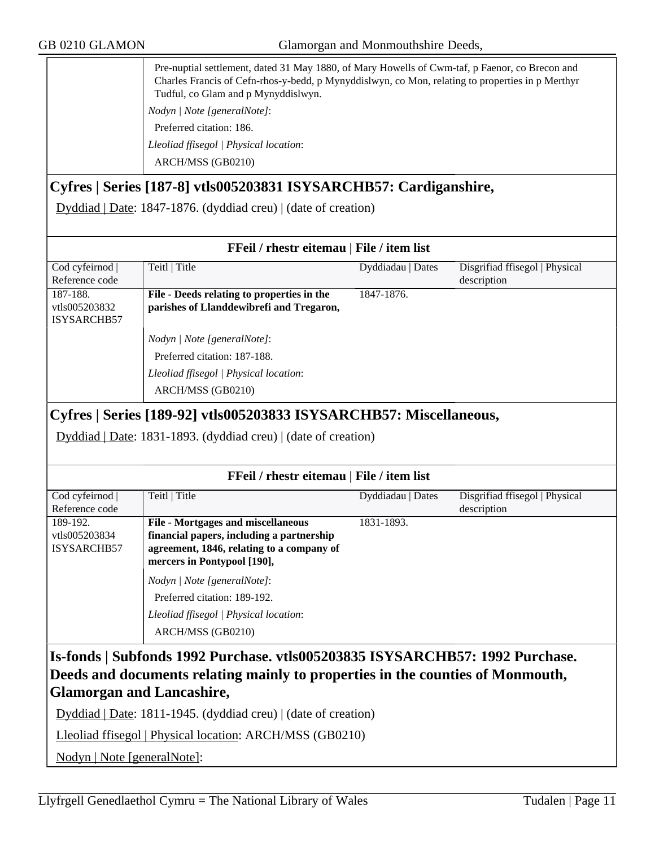GB 0210 GLAMON Glamorgan and Monmouthshire Deeds,

| Pre-nuptial settlement, dated 31 May 1880, of Mary Howells of Cwm-taf, p Faenor, co Brecon and<br>Charles Francis of Cefn-rhos-y-bedd, p Mynyddislwyn, co Mon, relating to properties in p Merthyr<br>Tudful, co Glam and p Mynyddislwyn.<br>Nodyn   Note [generalNote]: |
|--------------------------------------------------------------------------------------------------------------------------------------------------------------------------------------------------------------------------------------------------------------------------|
| Preferred citation: 186.<br>Lleoliad ffisegol   Physical location:<br>ARCH/MSS (GB0210)                                                                                                                                                                                  |

### **Cyfres | Series [187-8] vtls005203831 ISYSARCHB57: Cardiganshire,**

Dyddiad | Date: 1847-1876. (dyddiad creu) | (date of creation)

| FFeil / rhestr eitemau   File / item list |                                                                                                                       |                   |                                |
|-------------------------------------------|-----------------------------------------------------------------------------------------------------------------------|-------------------|--------------------------------|
| Cod cyfeirnod                             | Teitl   Title                                                                                                         | Dyddiadau   Dates | Disgrifiad ffisegol   Physical |
| Reference code                            |                                                                                                                       |                   | description                    |
| 187-188.<br>vtls005203832<br>ISYSARCHB57  | File - Deeds relating to properties in the<br>parishes of Llanddewibrefi and Tregaron,<br>Nodyn / Note [generalNote]: | 1847-1876.        |                                |
|                                           | Preferred citation: 187-188.<br>Lleoliad ffisegol   Physical location:<br>ARCH/MSS (GB0210)                           |                   |                                |

## **Cyfres | Series [189-92] vtls005203833 ISYSARCHB57: Miscellaneous,**

Dyddiad | Date: 1831-1893. (dyddiad creu) | (date of creation)

| FFeil / rhestr eitemau   File / item list |                                           |                   |                                |
|-------------------------------------------|-------------------------------------------|-------------------|--------------------------------|
| Cod cyfeirnod                             | Teitl   Title                             | Dyddiadau   Dates | Disgrifiad ffisegol   Physical |
| Reference code                            |                                           |                   | description                    |
| 189-192.                                  | <b>File - Mortgages and miscellaneous</b> | 1831-1893.        |                                |
| vtls005203834                             | financial papers, including a partnership |                   |                                |
| ISYSARCHB57                               | agreement, 1846, relating to a company of |                   |                                |
|                                           | mercers in Pontypool [190],               |                   |                                |
|                                           | Nodyn / Note [generalNote]:               |                   |                                |
|                                           | Preferred citation: 189-192.              |                   |                                |
|                                           | Lleoliad ffisegol   Physical location:    |                   |                                |
|                                           | ARCH/MSS (GB0210)                         |                   |                                |

## **Is-fonds | Subfonds 1992 Purchase. vtls005203835 ISYSARCHB57: 1992 Purchase. Deeds and documents relating mainly to properties in the counties of Monmouth, Glamorgan and Lancashire,**

Dyddiad | Date: 1811-1945. (dyddiad creu) | (date of creation)

Lleoliad ffisegol | Physical location: ARCH/MSS (GB0210)

Nodyn | Note [generalNote]: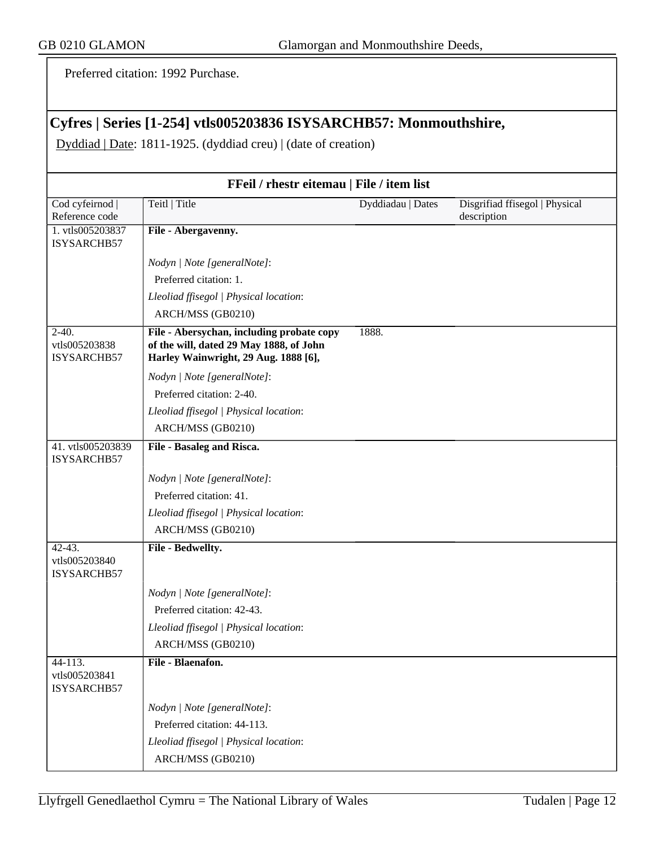Preferred citation: 1992 Purchase.

# **Cyfres | Series [1-254] vtls005203836 ISYSARCHB57: Monmouthshire,**

Dyddiad | Date: 1811-1925. (dyddiad creu) | (date of creation)

| FFeil / rhestr eitemau   File / item list |                                                                                                                              |                   |                                               |
|-------------------------------------------|------------------------------------------------------------------------------------------------------------------------------|-------------------|-----------------------------------------------|
| Cod cyfeirnod  <br>Reference code         | Teitl   Title                                                                                                                | Dyddiadau   Dates | Disgrifiad ffisegol   Physical<br>description |
| 1. vtls005203837<br>ISYSARCHB57           | File - Abergavenny.                                                                                                          |                   |                                               |
|                                           | Nodyn   Note [generalNote]:                                                                                                  |                   |                                               |
|                                           | Preferred citation: 1.                                                                                                       |                   |                                               |
|                                           | Lleoliad ffisegol   Physical location:                                                                                       |                   |                                               |
|                                           | ARCH/MSS (GB0210)                                                                                                            |                   |                                               |
| $2-40.$<br>vtls005203838<br>ISYSARCHB57   | File - Abersychan, including probate copy<br>of the will, dated 29 May 1888, of John<br>Harley Wainwright, 29 Aug. 1888 [6], | 1888.             |                                               |
|                                           | Nodyn   Note [generalNote]:                                                                                                  |                   |                                               |
|                                           | Preferred citation: 2-40.                                                                                                    |                   |                                               |
|                                           | Lleoliad ffisegol   Physical location:                                                                                       |                   |                                               |
|                                           | ARCH/MSS (GB0210)                                                                                                            |                   |                                               |
| 41. vtls005203839<br>ISYSARCHB57          | File - Basaleg and Risca.                                                                                                    |                   |                                               |
|                                           | Nodyn   Note [generalNote]:                                                                                                  |                   |                                               |
|                                           | Preferred citation: 41.                                                                                                      |                   |                                               |
|                                           | Lleoliad ffisegol   Physical location:                                                                                       |                   |                                               |
|                                           | ARCH/MSS (GB0210)                                                                                                            |                   |                                               |
| 42-43.<br>vtls005203840<br>ISYSARCHB57    | File - Bedwellty.                                                                                                            |                   |                                               |
|                                           | Nodyn   Note [generalNote]:                                                                                                  |                   |                                               |
|                                           | Preferred citation: 42-43.                                                                                                   |                   |                                               |
|                                           | Lleoliad ffisegol   Physical location:                                                                                       |                   |                                               |
|                                           | ARCH/MSS (GB0210)                                                                                                            |                   |                                               |
| 44-113.<br>vtls005203841<br>ISYSARCHB57   | File - Blaenafon.                                                                                                            |                   |                                               |
|                                           | Nodyn   Note [generalNote]:                                                                                                  |                   |                                               |
|                                           | Preferred citation: 44-113.                                                                                                  |                   |                                               |
|                                           | Lleoliad ffisegol   Physical location:                                                                                       |                   |                                               |
|                                           | ARCH/MSS (GB0210)                                                                                                            |                   |                                               |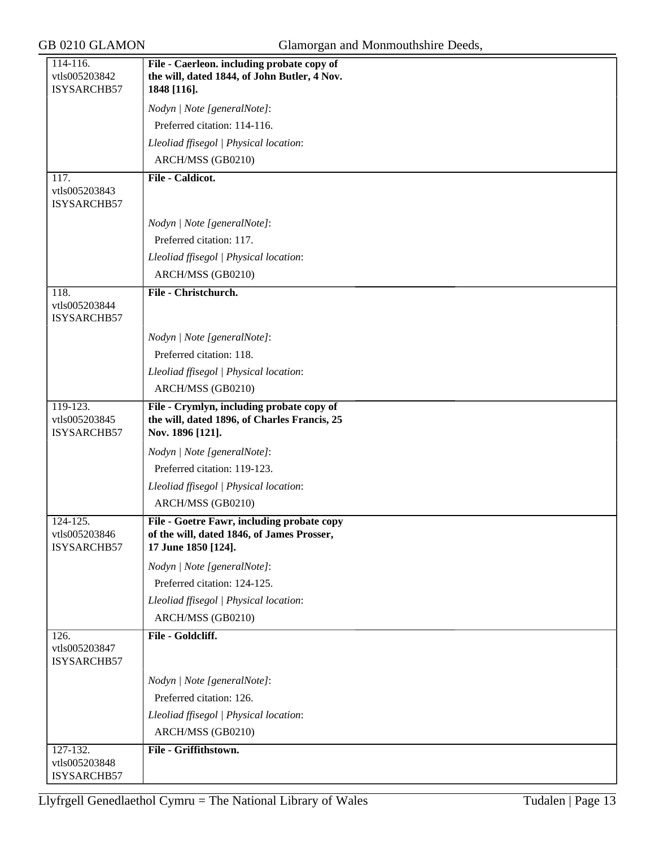| 114-116.<br>vtls005203842                | File - Caerleon. including probate copy of<br>the will, dated 1844, of John Butler, 4 Nov.                      |
|------------------------------------------|-----------------------------------------------------------------------------------------------------------------|
| ISYSARCHB57                              | 1848 [116].                                                                                                     |
|                                          | Nodyn   Note [generalNote]:                                                                                     |
|                                          | Preferred citation: 114-116.                                                                                    |
|                                          | Lleoliad ffisegol   Physical location:                                                                          |
|                                          | ARCH/MSS (GB0210)                                                                                               |
| 117.<br>vtls005203843<br>ISYSARCHB57     | <b>File - Caldicot.</b>                                                                                         |
|                                          | Nodyn   Note [generalNote]:                                                                                     |
|                                          | Preferred citation: 117.                                                                                        |
|                                          | Lleoliad ffisegol   Physical location:                                                                          |
|                                          | ARCH/MSS (GB0210)                                                                                               |
| 118.<br>vtls005203844<br>ISYSARCHB57     | File - Christchurch.                                                                                            |
|                                          | Nodyn   Note [generalNote]:                                                                                     |
|                                          | Preferred citation: 118.                                                                                        |
|                                          | Lleoliad ffisegol   Physical location:                                                                          |
|                                          | ARCH/MSS (GB0210)                                                                                               |
| 119-123.<br>vtls005203845<br>ISYSARCHB57 | File - Crymlyn, including probate copy of<br>the will, dated 1896, of Charles Francis, 25<br>Nov. 1896 [121].   |
|                                          | Nodyn   Note [generalNote]:                                                                                     |
|                                          | Preferred citation: 119-123.                                                                                    |
|                                          | Lleoliad ffisegol   Physical location:                                                                          |
|                                          | ARCH/MSS (GB0210)                                                                                               |
| 124-125.<br>vtls005203846<br>ISYSARCHB57 | File - Goetre Fawr, including probate copy<br>of the will, dated 1846, of James Prosser,<br>17 June 1850 [124]. |
|                                          | Nodyn   Note [generalNote]:                                                                                     |
|                                          | Preferred citation: 124-125.                                                                                    |
|                                          | Lleoliad ffisegol   Physical location:                                                                          |
|                                          | ARCH/MSS (GB0210)                                                                                               |
| 126.<br>vtls005203847<br>ISYSARCHB57     | File - Goldcliff.                                                                                               |
|                                          | Nodyn   Note [generalNote]:                                                                                     |
|                                          | Preferred citation: 126.                                                                                        |
|                                          | Lleoliad ffisegol   Physical location:                                                                          |
|                                          | ARCH/MSS (GB0210)                                                                                               |
| 127-132.<br>vtls005203848<br>ISYSARCHB57 | File - Griffithstown.                                                                                           |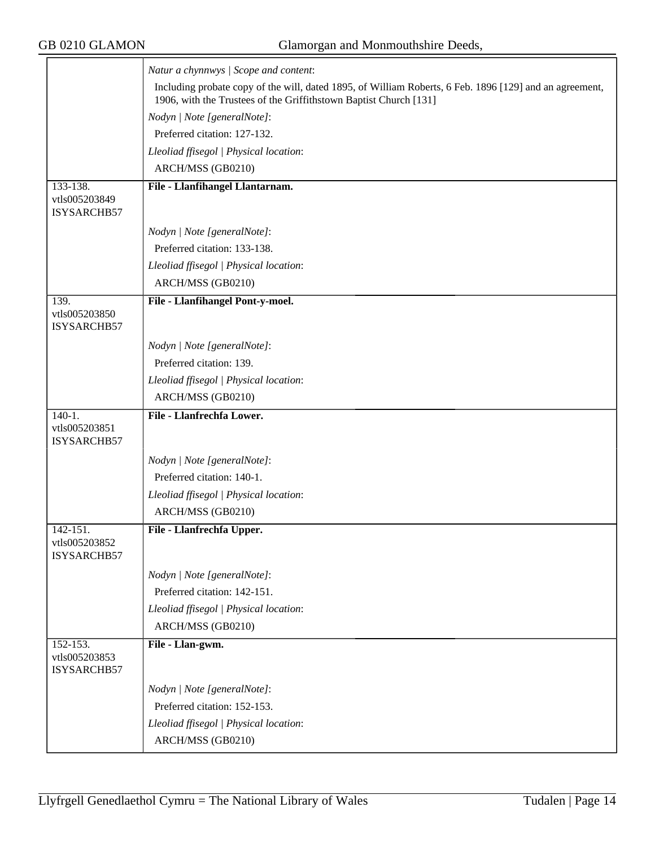|                                              | Natur a chynnwys / Scope and content:                                                                                                                                        |
|----------------------------------------------|------------------------------------------------------------------------------------------------------------------------------------------------------------------------------|
|                                              | Including probate copy of the will, dated 1895, of William Roberts, 6 Feb. 1896 [129] and an agreement,<br>1906, with the Trustees of the Griffithstown Baptist Church [131] |
|                                              | Nodyn   Note [generalNote]:                                                                                                                                                  |
|                                              | Preferred citation: 127-132.                                                                                                                                                 |
|                                              | Lleoliad ffisegol   Physical location:                                                                                                                                       |
|                                              | ARCH/MSS (GB0210)                                                                                                                                                            |
| $133 - 138.$<br>vtls005203849<br>ISYSARCHB57 | File - Llanfihangel Llantarnam.                                                                                                                                              |
|                                              | Nodyn   Note [generalNote]:                                                                                                                                                  |
|                                              | Preferred citation: 133-138.                                                                                                                                                 |
|                                              | Lleoliad ffisegol   Physical location:                                                                                                                                       |
|                                              | ARCH/MSS (GB0210)                                                                                                                                                            |
| 139.<br>vtls005203850<br>ISYSARCHB57         | File - Llanfihangel Pont-y-moel.                                                                                                                                             |
|                                              | Nodyn   Note [generalNote]:                                                                                                                                                  |
|                                              | Preferred citation: 139.                                                                                                                                                     |
|                                              | Lleoliad ffisegol   Physical location:                                                                                                                                       |
|                                              | ARCH/MSS (GB0210)                                                                                                                                                            |
|                                              |                                                                                                                                                                              |
| $140-1.$<br>vtls005203851<br>ISYSARCHB57     | File - Llanfrechfa Lower.                                                                                                                                                    |
|                                              | Nodyn   Note [generalNote]:                                                                                                                                                  |
|                                              | Preferred citation: 140-1.                                                                                                                                                   |
|                                              | Lleoliad ffisegol   Physical location:                                                                                                                                       |
|                                              | ARCH/MSS (GB0210)                                                                                                                                                            |
| $142 - 151.$<br>vtls005203852<br>ISYSARCHB57 | File - Llanfrechfa Upper.                                                                                                                                                    |
|                                              | Nodyn   Note [generalNote]:                                                                                                                                                  |
|                                              | Preferred citation: 142-151.                                                                                                                                                 |
|                                              | Lleoliad ffisegol   Physical location:                                                                                                                                       |
|                                              | ARCH/MSS (GB0210)                                                                                                                                                            |
| 152-153.<br>vtls005203853<br>ISYSARCHB57     | File - Llan-gwm.                                                                                                                                                             |
|                                              | Nodyn   Note [generalNote]:                                                                                                                                                  |
|                                              | Preferred citation: 152-153.                                                                                                                                                 |
|                                              | Lleoliad ffisegol   Physical location:                                                                                                                                       |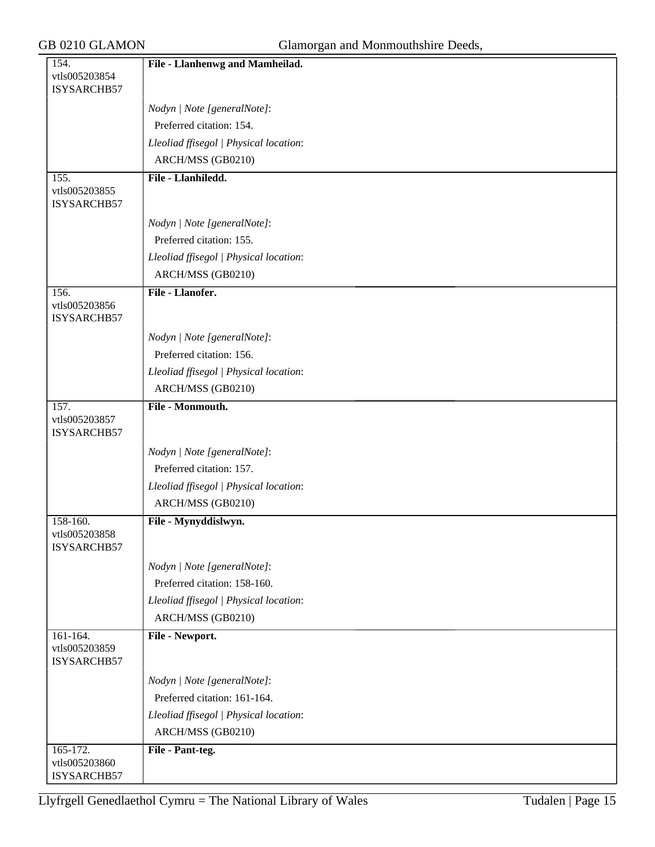| 154.                         | File - Llanhenwg and Mamheilad.        |
|------------------------------|----------------------------------------|
| vtls005203854                |                                        |
| ISYSARCHB57                  |                                        |
|                              | Nodyn   Note [generalNote]:            |
|                              | Preferred citation: 154.               |
|                              | Lleoliad ffisegol   Physical location: |
|                              | ARCH/MSS (GB0210)                      |
| 155.                         | File - Llanhiledd.                     |
| vtls005203855<br>ISYSARCHB57 |                                        |
|                              | Nodyn   Note [generalNote]:            |
|                              | Preferred citation: 155.               |
|                              | Lleoliad ffisegol   Physical location: |
|                              | ARCH/MSS (GB0210)                      |
| 156.                         | File - Llanofer.                       |
| vtls005203856<br>ISYSARCHB57 |                                        |
|                              | Nodyn   Note [generalNote]:            |
|                              | Preferred citation: 156.               |
|                              | Lleoliad ffisegol   Physical location: |
|                              | ARCH/MSS (GB0210)                      |
| 157.                         | File - Monmouth.                       |
| vtls005203857<br>ISYSARCHB57 |                                        |
|                              | Nodyn   Note [generalNote]:            |
|                              | Preferred citation: 157.               |
|                              | Lleoliad ffisegol   Physical location: |
|                              | ARCH/MSS (GB0210)                      |
| 158-160.                     | File - Mynyddislwyn.                   |
| vtls005203858<br>ISYSARCHB57 |                                        |
|                              | Nodyn   Note [generalNote]:            |
|                              | Preferred citation: 158-160.           |
|                              | Lleoliad ffisegol   Physical location: |
|                              | ARCH/MSS (GB0210)                      |
| 161-164.                     | File - Newport.                        |
| vtls005203859<br>ISYSARCHB57 |                                        |
|                              | Nodyn   Note [generalNote]:            |
|                              | Preferred citation: 161-164.           |
|                              | Lleoliad ffisegol   Physical location: |
|                              | ARCH/MSS (GB0210)                      |
| 165-172.                     | File - Pant-teg.                       |
| vtls005203860                |                                        |
| ISYSARCHB57                  |                                        |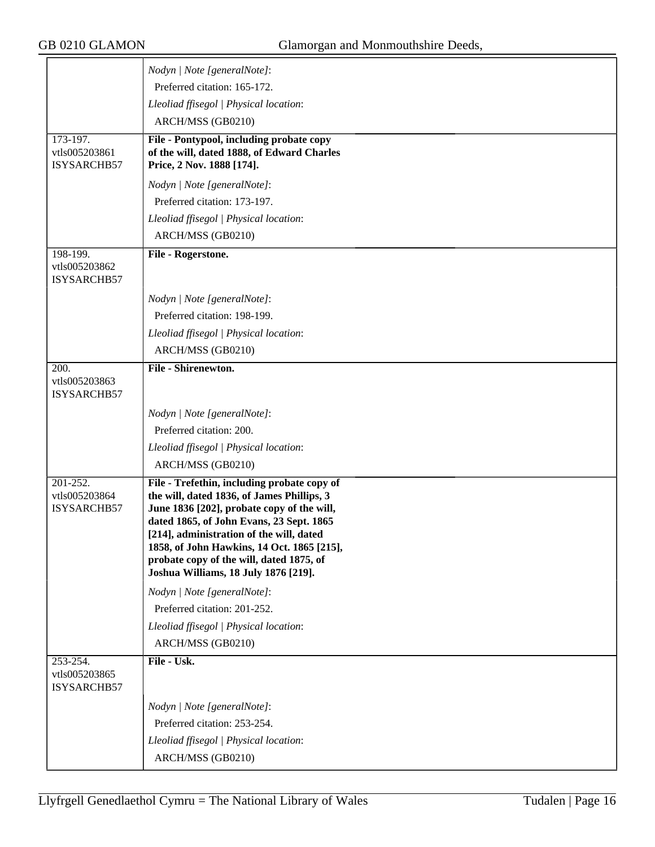|                                          | Nodyn   Note [generalNote]:                                                                                                                                                                                                                                                                                                                                       |
|------------------------------------------|-------------------------------------------------------------------------------------------------------------------------------------------------------------------------------------------------------------------------------------------------------------------------------------------------------------------------------------------------------------------|
|                                          | Preferred citation: 165-172.                                                                                                                                                                                                                                                                                                                                      |
|                                          | Lleoliad ffisegol   Physical location:                                                                                                                                                                                                                                                                                                                            |
|                                          | ARCH/MSS (GB0210)                                                                                                                                                                                                                                                                                                                                                 |
| 173-197.                                 | File - Pontypool, including probate copy                                                                                                                                                                                                                                                                                                                          |
| vtls005203861<br>ISYSARCHB57             | of the will, dated 1888, of Edward Charles<br>Price, 2 Nov. 1888 [174].                                                                                                                                                                                                                                                                                           |
|                                          | Nodyn   Note [generalNote]:                                                                                                                                                                                                                                                                                                                                       |
|                                          | Preferred citation: 173-197.                                                                                                                                                                                                                                                                                                                                      |
|                                          | Lleoliad ffisegol   Physical location:                                                                                                                                                                                                                                                                                                                            |
|                                          | ARCH/MSS (GB0210)                                                                                                                                                                                                                                                                                                                                                 |
| 198-199.                                 | File - Rogerstone.                                                                                                                                                                                                                                                                                                                                                |
| vtls005203862<br>ISYSARCHB57             |                                                                                                                                                                                                                                                                                                                                                                   |
|                                          |                                                                                                                                                                                                                                                                                                                                                                   |
|                                          | Nodyn   Note [generalNote]:                                                                                                                                                                                                                                                                                                                                       |
|                                          | Preferred citation: 198-199.                                                                                                                                                                                                                                                                                                                                      |
|                                          | Lleoliad ffisegol   Physical location:                                                                                                                                                                                                                                                                                                                            |
|                                          | ARCH/MSS (GB0210)                                                                                                                                                                                                                                                                                                                                                 |
| 200.<br>vtls005203863                    | File - Shirenewton.                                                                                                                                                                                                                                                                                                                                               |
| ISYSARCHB57                              |                                                                                                                                                                                                                                                                                                                                                                   |
|                                          | Nodyn   Note [generalNote]:                                                                                                                                                                                                                                                                                                                                       |
|                                          | Preferred citation: 200.                                                                                                                                                                                                                                                                                                                                          |
|                                          | Lleoliad ffisegol   Physical location:                                                                                                                                                                                                                                                                                                                            |
|                                          | ARCH/MSS (GB0210)                                                                                                                                                                                                                                                                                                                                                 |
| 201-252.<br>vtls005203864<br>ISYSARCHB57 | File - Trefethin, including probate copy of<br>the will, dated 1836, of James Phillips, 3<br>June 1836 [202], probate copy of the will,<br>dated 1865, of John Evans, 23 Sept. 1865<br>[214], administration of the will, dated<br>1858, of John Hawkins, 14 Oct. 1865 [215],<br>probate copy of the will, dated 1875, of<br>Joshua Williams, 18 July 1876 [219]. |
|                                          | Nodyn   Note [generalNote]:                                                                                                                                                                                                                                                                                                                                       |
|                                          | Preferred citation: 201-252.                                                                                                                                                                                                                                                                                                                                      |
|                                          | Lleoliad ffisegol   Physical location:                                                                                                                                                                                                                                                                                                                            |
|                                          | ARCH/MSS (GB0210)                                                                                                                                                                                                                                                                                                                                                 |
| 253-254.<br>vtls005203865<br>ISYSARCHB57 | File - Usk.                                                                                                                                                                                                                                                                                                                                                       |
|                                          | Nodyn   Note [generalNote]:                                                                                                                                                                                                                                                                                                                                       |
|                                          | Preferred citation: 253-254.                                                                                                                                                                                                                                                                                                                                      |
|                                          | Lleoliad ffisegol   Physical location:                                                                                                                                                                                                                                                                                                                            |
|                                          | ARCH/MSS (GB0210)                                                                                                                                                                                                                                                                                                                                                 |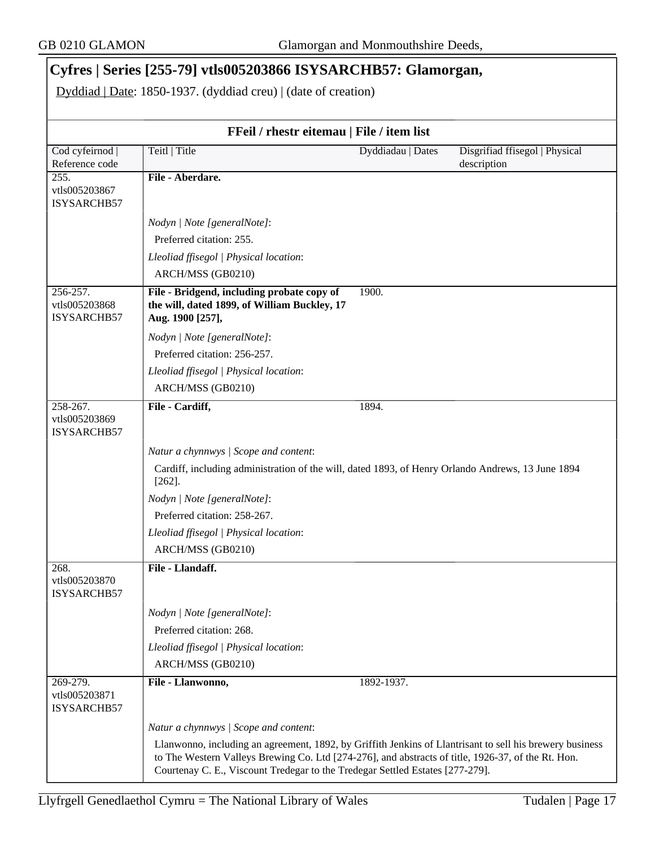# **Cyfres | Series [255-79] vtls005203866 ISYSARCHB57: Glamorgan,**

Dyddiad | Date: 1850-1937. (dyddiad creu) | (date of creation)

|                                             | FFeil / rhestr eitemau   File / item list                                                                                                                                                                                                                                                       |                   |                                               |
|---------------------------------------------|-------------------------------------------------------------------------------------------------------------------------------------------------------------------------------------------------------------------------------------------------------------------------------------------------|-------------------|-----------------------------------------------|
| Cod cyfeirnod  <br>Reference code           | Teitl   Title                                                                                                                                                                                                                                                                                   | Dyddiadau   Dates | Disgrifiad ffisegol   Physical<br>description |
| 255.                                        | File - Aberdare.                                                                                                                                                                                                                                                                                |                   |                                               |
| vtls005203867<br>ISYSARCHB57                |                                                                                                                                                                                                                                                                                                 |                   |                                               |
|                                             | Nodyn   Note [generalNote]:                                                                                                                                                                                                                                                                     |                   |                                               |
|                                             | Preferred citation: 255.                                                                                                                                                                                                                                                                        |                   |                                               |
|                                             | Lleoliad ffisegol   Physical location:                                                                                                                                                                                                                                                          |                   |                                               |
|                                             | ARCH/MSS (GB0210)                                                                                                                                                                                                                                                                               |                   |                                               |
| 256-257.<br>vtls005203868<br>ISYSARCHB57    | File - Bridgend, including probate copy of<br>the will, dated 1899, of William Buckley, 17<br>Aug. 1900 [257],                                                                                                                                                                                  | 1900.             |                                               |
|                                             | Nodyn   Note [generalNote]:                                                                                                                                                                                                                                                                     |                   |                                               |
|                                             | Preferred citation: 256-257.                                                                                                                                                                                                                                                                    |                   |                                               |
|                                             | Lleoliad ffisegol   Physical location:                                                                                                                                                                                                                                                          |                   |                                               |
|                                             | ARCH/MSS (GB0210)                                                                                                                                                                                                                                                                               |                   |                                               |
| 258-267.<br>vtls005203869<br>ISYSARCHB57    | File - Cardiff,                                                                                                                                                                                                                                                                                 | 1894.             |                                               |
|                                             | Natur a chynnwys / Scope and content:                                                                                                                                                                                                                                                           |                   |                                               |
|                                             | Cardiff, including administration of the will, dated 1893, of Henry Orlando Andrews, 13 June 1894<br>$[262]$ .                                                                                                                                                                                  |                   |                                               |
|                                             | Nodyn   Note [generalNote]:                                                                                                                                                                                                                                                                     |                   |                                               |
|                                             | Preferred citation: 258-267.                                                                                                                                                                                                                                                                    |                   |                                               |
|                                             | Lleoliad ffisegol   Physical location:                                                                                                                                                                                                                                                          |                   |                                               |
|                                             | ARCH/MSS (GB0210)                                                                                                                                                                                                                                                                               |                   |                                               |
| 268.<br>vtls005203870<br><b>ISYSARCHB57</b> | File - Llandaff.                                                                                                                                                                                                                                                                                |                   |                                               |
|                                             | Nodyn   Note [generalNote]:                                                                                                                                                                                                                                                                     |                   |                                               |
|                                             | Preferred citation: 268.                                                                                                                                                                                                                                                                        |                   |                                               |
|                                             | Lleoliad ffisegol   Physical location:                                                                                                                                                                                                                                                          |                   |                                               |
|                                             | ARCH/MSS (GB0210)                                                                                                                                                                                                                                                                               |                   |                                               |
| 269-279.<br>vtls005203871<br>ISYSARCHB57    | File - Llanwonno,                                                                                                                                                                                                                                                                               | 1892-1937.        |                                               |
|                                             | Natur a chynnwys / Scope and content:                                                                                                                                                                                                                                                           |                   |                                               |
|                                             | Llanwonno, including an agreement, 1892, by Griffith Jenkins of Llantrisant to sell his brewery business<br>to The Western Valleys Brewing Co. Ltd [274-276], and abstracts of title, 1926-37, of the Rt. Hon.<br>Courtenay C. E., Viscount Tredegar to the Tredegar Settled Estates [277-279]. |                   |                                               |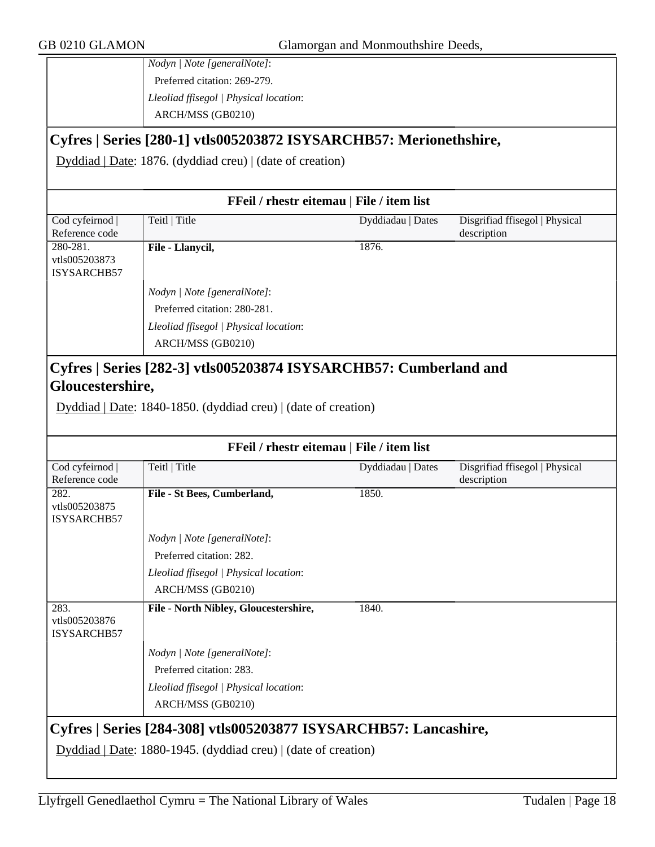*Nodyn | Note [generalNote]*: Preferred citation: 269-279. *Lleoliad ffisegol | Physical location*: ARCH/MSS (GB0210)

## **Cyfres | Series [280-1] vtls005203872 ISYSARCHB57: Merionethshire,**

Dyddiad | Date: 1876. (dyddiad creu) | (date of creation)

|                                           | FFeil / rhestr eitemau   File / item list                         |                   |                                               |
|-------------------------------------------|-------------------------------------------------------------------|-------------------|-----------------------------------------------|
| Cod cyfeirnod<br>Reference code           | Teitl   Title                                                     | Dyddiadau   Dates | Disgrifiad ffisegol   Physical<br>description |
| 280-281.                                  | File - Llanycil,                                                  | 1876.             |                                               |
| vtls005203873<br>ISYSARCHB57              |                                                                   |                   |                                               |
|                                           | Nodyn   Note [generalNote]:                                       |                   |                                               |
|                                           | Preferred citation: 280-281.                                      |                   |                                               |
|                                           | Lleoliad ffisegol   Physical location:                            |                   |                                               |
|                                           | ARCH/MSS (GB0210)                                                 |                   |                                               |
|                                           |                                                                   |                   |                                               |
|                                           | Cyfres   Series [282-3] vtls005203874 ISYSARCHB57: Cumberland and |                   |                                               |
| Gloucestershire,                          |                                                                   |                   |                                               |
|                                           | Dyddiad   Date: 1840-1850. (dyddiad creu)   (date of creation)    |                   |                                               |
|                                           |                                                                   |                   |                                               |
| FFeil / rhestr eitemau   File / item list |                                                                   |                   |                                               |
|                                           |                                                                   |                   |                                               |
|                                           | Teitl   Title                                                     | Dyddiadau   Dates | Disgrifiad ffisegol   Physical                |
|                                           |                                                                   |                   | description                                   |
|                                           | File - St Bees, Cumberland,                                       | 1850.             |                                               |
|                                           |                                                                   |                   |                                               |
|                                           | Nodyn   Note [generalNote]:                                       |                   |                                               |
|                                           | Preferred citation: 282.                                          |                   |                                               |
| vtls005203875<br>ISYSARCHB57              | Lleoliad ffisegol   Physical location:                            |                   |                                               |
| Cod cyfeirnod<br>Reference code<br>282.   | ARCH/MSS (GB0210)                                                 |                   |                                               |
| 283.                                      | File - North Nibley, Gloucestershire,                             | 1840.             |                                               |
| vtls005203876                             |                                                                   |                   |                                               |
|                                           |                                                                   |                   |                                               |
|                                           | Nodyn   Note [generalNote]:                                       |                   |                                               |
| ISYSARCHB57                               | Preferred citation: 283.                                          |                   |                                               |
|                                           | Lleoliad ffisegol   Physical location:<br>ARCH/MSS (GB0210)       |                   |                                               |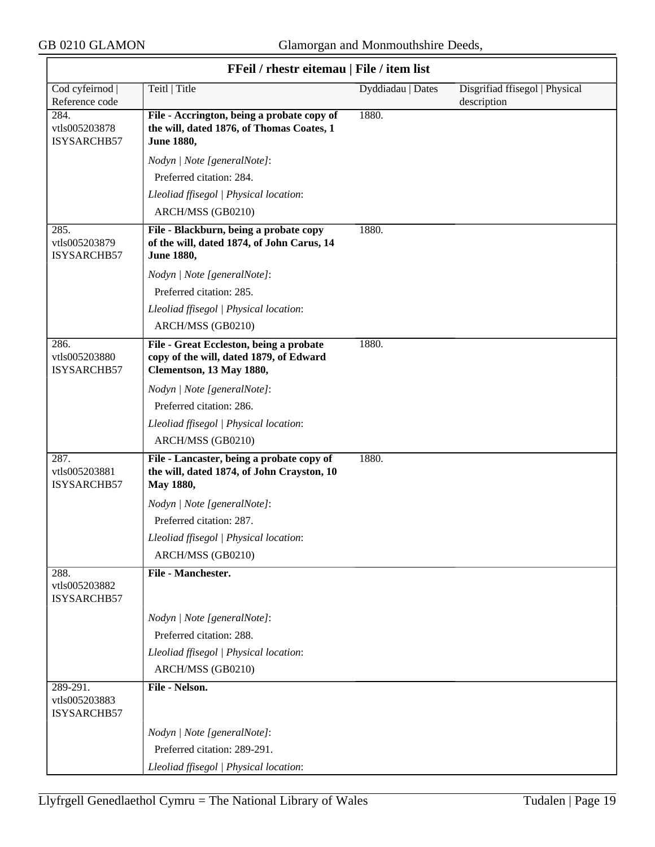| FFeil / rhestr eitemau   File / item list |                                                                                                                |                   |                                               |
|-------------------------------------------|----------------------------------------------------------------------------------------------------------------|-------------------|-----------------------------------------------|
| Cod cyfeirnod<br>Reference code           | Teitl   Title                                                                                                  | Dyddiadau   Dates | Disgrifiad ffisegol   Physical<br>description |
| 284.<br>vtls005203878<br>ISYSARCHB57      | File - Accrington, being a probate copy of<br>the will, dated 1876, of Thomas Coates, 1<br><b>June 1880,</b>   | 1880.             |                                               |
|                                           | Nodyn   Note [generalNote]:                                                                                    |                   |                                               |
|                                           | Preferred citation: 284.                                                                                       |                   |                                               |
|                                           | Lleoliad ffisegol   Physical location:                                                                         |                   |                                               |
|                                           | ARCH/MSS (GB0210)                                                                                              |                   |                                               |
| 285.<br>vtls005203879<br>ISYSARCHB57      | File - Blackburn, being a probate copy<br>of the will, dated 1874, of John Carus, 14<br><b>June 1880,</b>      | 1880.             |                                               |
|                                           | Nodyn   Note [generalNote]:                                                                                    |                   |                                               |
|                                           | Preferred citation: 285.                                                                                       |                   |                                               |
|                                           | Lleoliad ffisegol   Physical location:                                                                         |                   |                                               |
|                                           | ARCH/MSS (GB0210)                                                                                              |                   |                                               |
| 286.<br>vtls005203880<br>ISYSARCHB57      | File - Great Eccleston, being a probate<br>copy of the will, dated 1879, of Edward<br>Clementson, 13 May 1880, | 1880.             |                                               |
|                                           | Nodyn   Note [generalNote]:                                                                                    |                   |                                               |
|                                           | Preferred citation: 286.                                                                                       |                   |                                               |
|                                           | Lleoliad ffisegol   Physical location:                                                                         |                   |                                               |
|                                           | ARCH/MSS (GB0210)                                                                                              |                   |                                               |
| 287.<br>vtls005203881<br>ISYSARCHB57      | File - Lancaster, being a probate copy of<br>the will, dated 1874, of John Crayston, 10<br>May 1880,           | 1880.             |                                               |
|                                           | Nodyn   Note [generalNote]:                                                                                    |                   |                                               |
|                                           | Preferred citation: 287.                                                                                       |                   |                                               |
|                                           | Lleoliad ffisegol   Physical location:                                                                         |                   |                                               |
|                                           | ARCH/MSS (GB0210)                                                                                              |                   |                                               |
| 288.<br>vtls005203882<br>ISYSARCHB57      | File - Manchester.                                                                                             |                   |                                               |
|                                           | Nodyn   Note [generalNote]:                                                                                    |                   |                                               |
|                                           | Preferred citation: 288.                                                                                       |                   |                                               |
|                                           | Lleoliad ffisegol   Physical location:                                                                         |                   |                                               |
|                                           | ARCH/MSS (GB0210)                                                                                              |                   |                                               |
| 289-291.<br>vtls005203883<br>ISYSARCHB57  | File - Nelson.                                                                                                 |                   |                                               |
|                                           | Nodyn   Note [generalNote]:                                                                                    |                   |                                               |
|                                           | Preferred citation: 289-291.                                                                                   |                   |                                               |
|                                           | Lleoliad ffisegol   Physical location:                                                                         |                   |                                               |